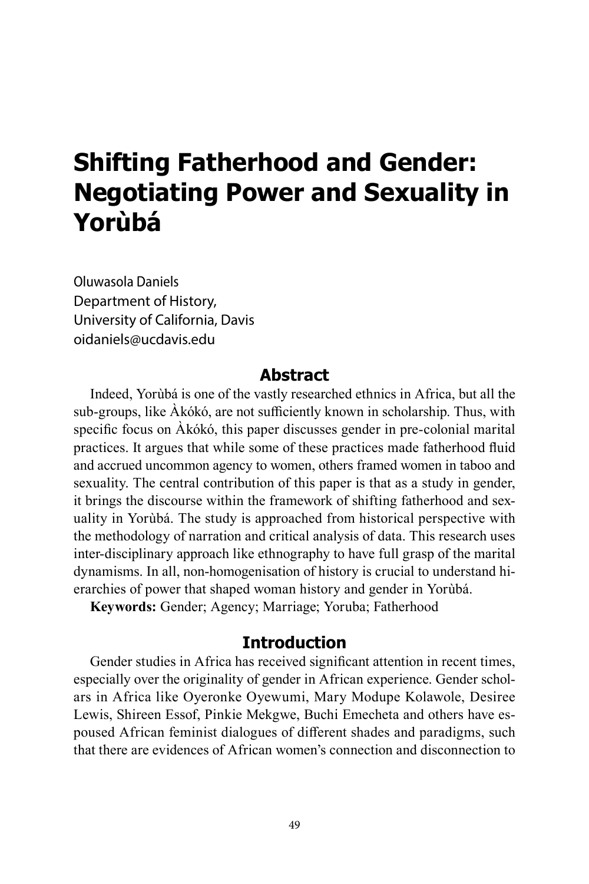# **Shifting Fatherhood and Gender: Negotiating Power and Sexuality in Yorùbá**

Oluwasola Daniels Department of History, University of California, Davis oidaniels@ucdavis.edu

# **Abstract**

Indeed, Yorùbá is one of the vastly researched ethnics in Africa, but all the sub-groups, like Àkókó, are not sufficiently known in scholarship. Thus, with specific focus on Àkókó, this paper discusses gender in pre-colonial marital practices. It argues that while some of these practices made fatherhood fluid and accrued uncommon agency to women, others framed women in taboo and sexuality. The central contribution of this paper is that as a study in gender, it brings the discourse within the framework of shifting fatherhood and sexuality in Yorùbá. The study is approached from historical perspective with the methodology of narration and critical analysis of data. This research uses inter-disciplinary approach like ethnography to have full grasp of the marital dynamisms. In all, non-homogenisation of history is crucial to understand hierarchies of power that shaped woman history and gender in Yorùbá.

**Keywords:** Gender; Agency; Marriage; Yoruba; Fatherhood

# **Introduction**

Gender studies in Africa has received significant attention in recent times, especially over the originality of gender in African experience. Gender scholars in Africa like Oyeronke Oyewumi, Mary Modupe Kolawole, Desiree Lewis, Shireen Essof, Pinkie Mekgwe, Buchi Emecheta and others have espoused African feminist dialogues of different shades and paradigms, such that there are evidences of African women's connection and disconnection to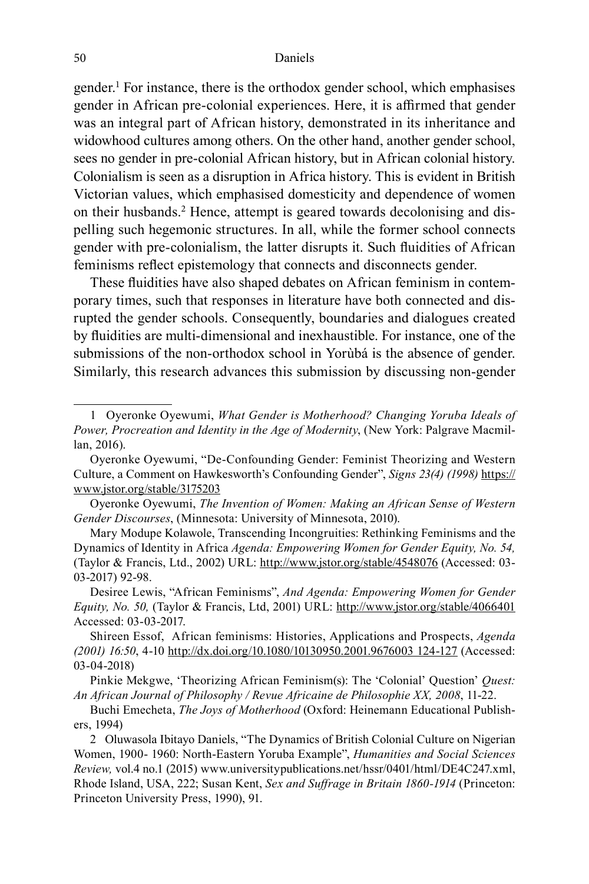gender.<sup>1</sup> For instance, there is the orthodox gender school, which emphasises gender in African pre-colonial experiences. Here, it is affirmed that gender was an integral part of African history, demonstrated in its inheritance and widowhood cultures among others. On the other hand, another gender school, sees no gender in pre-colonial African history, but in African colonial history. Colonialism is seen as a disruption in Africa history. This is evident in British Victorian values, which emphasised domesticity and dependence of women on their husbands.<sup>2</sup> Hence, attempt is geared towards decolonising and dispelling such hegemonic structures. In all, while the former school connects gender with pre-colonialism, the latter disrupts it. Such fluidities of African feminisms reflect epistemology that connects and disconnects gender.

These fluidities have also shaped debates on African feminism in contemporary times, such that responses in literature have both connected and disrupted the gender schools. Consequently, boundaries and dialogues created by fluidities are multi-dimensional and inexhaustible. For instance, one of the submissions of the non-orthodox school in Yorùbá is the absence of gender. Similarly, this research advances this submission by discussing non-gender

<sup>1</sup> Oyeronke Oyewumi, *What Gender is Motherhood? Changing Yoruba Ideals of Power, Procreation and Identity in the Age of Modernity*, (New York: Palgrave Macmillan, 2016).

Oyeronke Oyewumi, "De-Confounding Gender: Feminist Theorizing and Western Culture, a Comment on Hawkesworth's Confounding Gender", *Signs 23(4) (1998)* https:// www.jstor.org/stable/3175203

Oyeronke Oyewumi, *The Invention of Women: Making an African Sense of Western Gender Discourses*, (Minnesota: University of Minnesota, 2010).

Mary Modupe Kolawole, Transcending Incongruities: Rethinking Feminisms and the Dynamics of Identity in Africa *Agenda: Empowering Women for Gender Equity, No. 54,*  (Taylor & Francis, Ltd., 2002) URL: http://www.jstor.org/stable/4548076 (Accessed: 03- 03-2017) 92-98.

Desiree Lewis, "African Feminisms", *And Agenda: Empowering Women for Gender Equity, No. 50,* (Taylor & Francis, Ltd, 2001) URL: http://www.jstor.org/stable/4066401 Accessed: 03-03-2017.

Shireen Essof, African feminisms: Histories, Applications and Prospects, *Agenda (2001) 16:50*, 4-10 http://dx.doi.org/10.1080/10130950.2001.9676003 124-127 (Accessed: 03-04-2018)

Pinkie Mekgwe, 'Theorizing African Feminism(s): The 'Colonial' Question' *Quest*: *An African Journal of Philosophy / Revue Africaine de Philosophie XX, 2008*, 11-22.

Buchi Emecheta, *The Joys of Motherhood* (Oxford: Heinemann Educational Publishers, 1994)

<sup>2</sup> Oluwasola Ibitayo Daniels, "The Dynamics of British Colonial Culture on Nigerian Women, 1900- 1960: North-Eastern Yoruba Example", *Humanities and Social Sciences Review,* vol.4 no.1 (2015) www.universitypublications.net/hssr/0401/html/DE4C247.xml, Rhode Island, USA, 222; Susan Kent, *Sex and Suffrage in Britain 1860-1914* (Princeton: Princeton University Press, 1990), 91.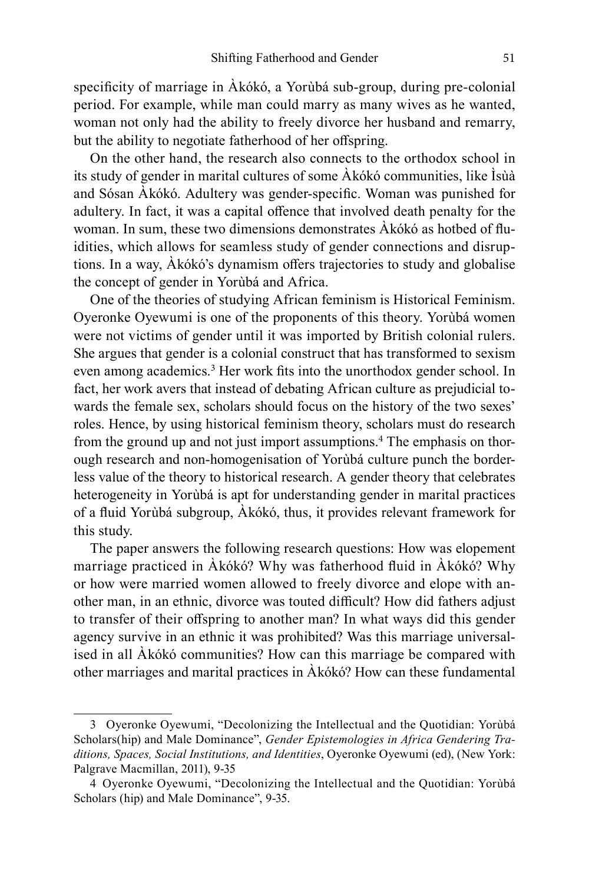specificity of marriage in Àkókó, a Yorùbá sub-group, during pre-colonial period. For example, while man could marry as many wives as he wanted, woman not only had the ability to freely divorce her husband and remarry, but the ability to negotiate fatherhood of her offspring.

On the other hand, the research also connects to the orthodox school in its study of gender in marital cultures of some Àkókó communities, like Ìsùà and Sósan Àkókó. Adultery was gender-specific. Woman was punished for adultery. In fact, it was a capital offence that involved death penalty for the woman. In sum, these two dimensions demonstrates Àkókó as hotbed of fluidities, which allows for seamless study of gender connections and disruptions. In a way, Àkókó's dynamism offers trajectories to study and globalise the concept of gender in Yorùbá and Africa.

One of the theories of studying African feminism is Historical Feminism. Oyeronke Oyewumi is one of the proponents of this theory. Yorùbá women were not victims of gender until it was imported by British colonial rulers. She argues that gender is a colonial construct that has transformed to sexism even among academics.<sup>3</sup> Her work fits into the unorthodox gender school. In fact, her work avers that instead of debating African culture as prejudicial towards the female sex, scholars should focus on the history of the two sexes' roles. Hence, by using historical feminism theory, scholars must do research from the ground up and not just import assumptions.<sup>4</sup> The emphasis on thorough research and non-homogenisation of Yorùbá culture punch the borderless value of the theory to historical research. A gender theory that celebrates heterogeneity in Yorùbá is apt for understanding gender in marital practices of a fluid Yorùbá subgroup, Àkókó, thus, it provides relevant framework for this study.

The paper answers the following research questions: How was elopement marriage practiced in Àkókó? Why was fatherhood fluid in Àkókó? Why or how were married women allowed to freely divorce and elope with another man, in an ethnic, divorce was touted difficult? How did fathers adjust to transfer of their offspring to another man? In what ways did this gender agency survive in an ethnic it was prohibited? Was this marriage universalised in all Àkókó communities? How can this marriage be compared with other marriages and marital practices in Àkókó? How can these fundamental

<sup>3</sup> Oyeronke Oyewumi, "Decolonizing the Intellectual and the Quotidian: Yorùbá Scholars(hip) and Male Dominance", *Gender Epistemologies in Africa Gendering Traditions, Spaces, Social Institutions, and Identities*, Oyeronke Oyewumi (ed), (New York: Palgrave Macmillan, 2011), 9-35

<sup>4</sup> Oyeronke Oyewumi, "Decolonizing the Intellectual and the Quotidian: Yorùbá Scholars (hip) and Male Dominance", 9-35.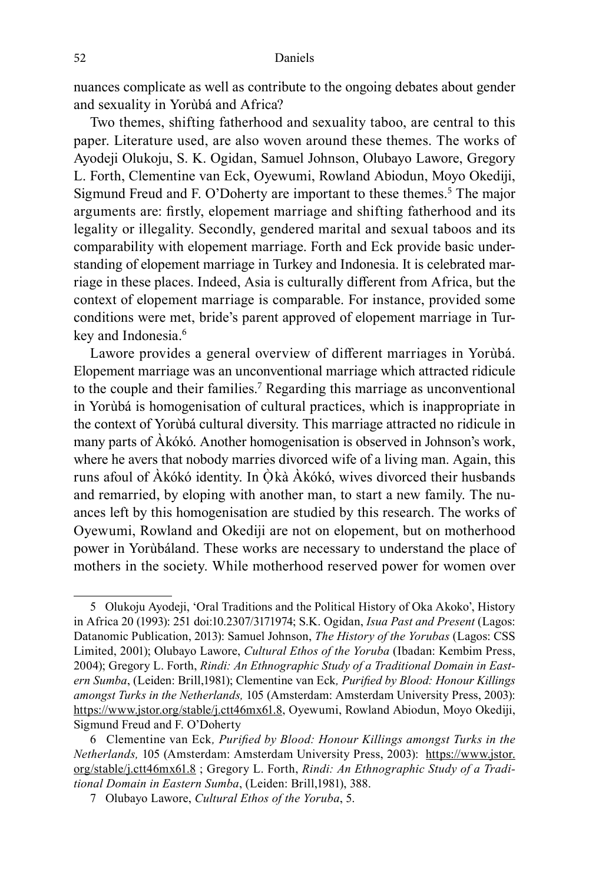nuances complicate as well as contribute to the ongoing debates about gender and sexuality in Yorùbá and Africa?

Two themes, shifting fatherhood and sexuality taboo, are central to this paper. Literature used, are also woven around these themes. The works of Ayodeji Olukoju, S. K. Ogidan, Samuel Johnson, Olubayo Lawore, Gregory L. Forth, Clementine van Eck, Oyewumi, Rowland Abiodun, Moyo Okediji, Sigmund Freud and F. O'Doherty are important to these themes.<sup>5</sup> The major arguments are: firstly, elopement marriage and shifting fatherhood and its legality or illegality. Secondly, gendered marital and sexual taboos and its comparability with elopement marriage. Forth and Eck provide basic understanding of elopement marriage in Turkey and Indonesia. It is celebrated marriage in these places. Indeed, Asia is culturally different from Africa, but the context of elopement marriage is comparable. For instance, provided some conditions were met, bride's parent approved of elopement marriage in Turkey and Indonesia.<sup>6</sup>

Lawore provides a general overview of different marriages in Yorùbá. Elopement marriage was an unconventional marriage which attracted ridicule to the couple and their families.<sup>7</sup> Regarding this marriage as unconventional in Yorùbá is homogenisation of cultural practices, which is inappropriate in the context of Yorùbá cultural diversity. This marriage attracted no ridicule in many parts of Àkókó. Another homogenisation is observed in Johnson's work, where he avers that nobody marries divorced wife of a living man. Again, this runs afoul of Àkókó identity. In Òkà Àkókó, wives divorced their husbands and remarried, by eloping with another man, to start a new family. The nuances left by this homogenisation are studied by this research. The works of Oyewumi, Rowland and Okediji are not on elopement, but on motherhood power in Yorùbáland. These works are necessary to understand the place of mothers in the society. While motherhood reserved power for women over

<sup>5</sup> Olukoju Ayodeji, 'Oral Traditions and the Political History of Oka Akoko', History in Africa 20 (1993): 251 doi:10.2307/3171974; S.K. Ogidan, *Isua Past and Present* (Lagos: Datanomic Publication, 2013): Samuel Johnson, *The History of the Yorubas* (Lagos: CSS Limited, 2001); Olubayo Lawore, *Cultural Ethos of the Yoruba* (Ibadan: Kembim Press, 2004); Gregory L. Forth, *Rindi: An Ethnographic Study of a Traditional Domain in Eastern Sumba*, (Leiden: Brill,1981); Clementine van Eck*, Purified by Blood: Honour Killings amongst Turks in the Netherlands,* 105 (Amsterdam: Amsterdam University Press, 2003): https://www.jstor.org/stable/j.ctt46mx61.8, Oyewumi, Rowland Abiodun, Moyo Okediji, Sigmund Freud and F. O'Doherty

<sup>6</sup> Clementine van Eck*, Purified by Blood: Honour Killings amongst Turks in the Netherlands,* 105 (Amsterdam: Amsterdam University Press, 2003): https://www.jstor. org/stable/j.ctt46mx61.8 ; Gregory L. Forth, *Rindi: An Ethnographic Study of a Traditional Domain in Eastern Sumba*, (Leiden: Brill,1981), 388.

<sup>7</sup> Olubayo Lawore, *Cultural Ethos of the Yoruba*, 5.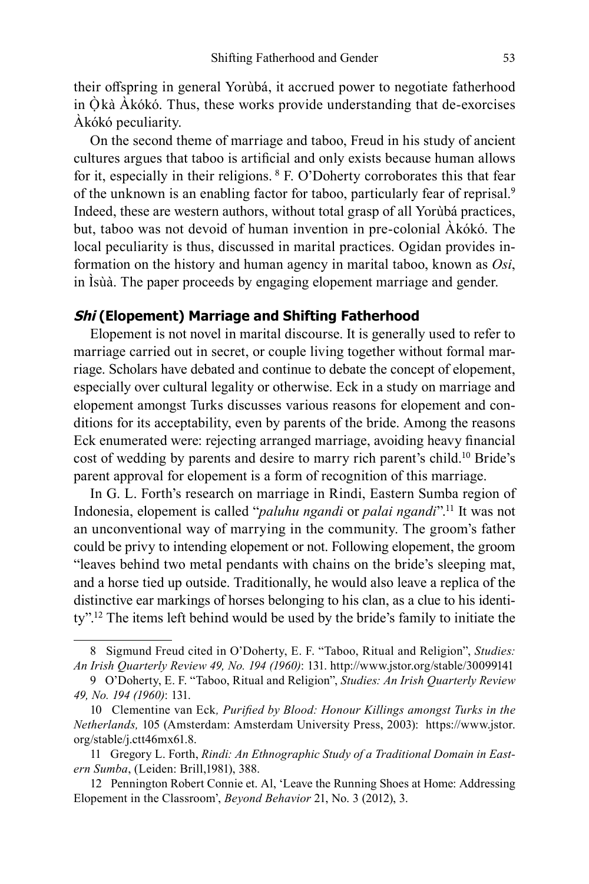their offspring in general Yorùbá, it accrued power to negotiate fatherhood in  $\dot{O}$  kà  $\dot{A}$  kókó. Thus, these works provide understanding that de-exorcises Àkókó peculiarity.

On the second theme of marriage and taboo, Freud in his study of ancient cultures argues that taboo is artificial and only exists because human allows for it, especially in their religions. <sup>8</sup> F. O'Doherty corroborates this that fear of the unknown is an enabling factor for taboo, particularly fear of reprisal.<sup>9</sup> Indeed, these are western authors, without total grasp of all Yorùbá practices, but, taboo was not devoid of human invention in pre-colonial Àkókó. The local peculiarity is thus, discussed in marital practices. Ogidan provides information on the history and human agency in marital taboo, known as *Osi*, in Ìsùà. The paper proceeds by engaging elopement marriage and gender.

## **Shi (Elopement) Marriage and Shifting Fatherhood**

Elopement is not novel in marital discourse. It is generally used to refer to marriage carried out in secret, or couple living together without formal marriage. Scholars have debated and continue to debate the concept of elopement, especially over cultural legality or otherwise. Eck in a study on marriage and elopement amongst Turks discusses various reasons for elopement and conditions for its acceptability, even by parents of the bride. Among the reasons Eck enumerated were: rejecting arranged marriage, avoiding heavy financial cost of wedding by parents and desire to marry rich parent's child.<sup>10</sup> Bride's parent approval for elopement is a form of recognition of this marriage.

In G. L. Forth's research on marriage in Rindi, Eastern Sumba region of Indonesia, elopement is called "*paluhu ngandi* or *palai ngandi*".<sup>11</sup> It was not an unconventional way of marrying in the community. The groom's father could be privy to intending elopement or not. Following elopement, the groom "leaves behind two metal pendants with chains on the bride's sleeping mat, and a horse tied up outside. Traditionally, he would also leave a replica of the distinctive ear markings of horses belonging to his clan, as a clue to his identity".<sup>12</sup> The items left behind would be used by the bride's family to initiate the

<sup>8</sup> Sigmund Freud cited in O'Doherty, E. F. "Taboo, Ritual and Religion", *Studies: An Irish Quarterly Review 49, No. 194 (1960)*: 131. http://www.jstor.org/stable/30099141

<sup>9</sup> O'Doherty, E. F. "Taboo, Ritual and Religion", *Studies: An Irish Quarterly Review 49, No. 194 (1960)*: 131.

<sup>10</sup> Clementine van Eck*, Purified by Blood: Honour Killings amongst Turks in the Netherlands,* 105 (Amsterdam: Amsterdam University Press, 2003): https://www.jstor. org/stable/j.ctt46mx61.8.

<sup>11</sup> Gregory L. Forth, *Rindi: An Ethnographic Study of a Traditional Domain in Eastern Sumba*, (Leiden: Brill,1981), 388.

<sup>12</sup> Pennington Robert Connie et. Al, 'Leave the Running Shoes at Home: Addressing Elopement in the Classroom', *Beyond Behavior* 21, No. 3 (2012), 3.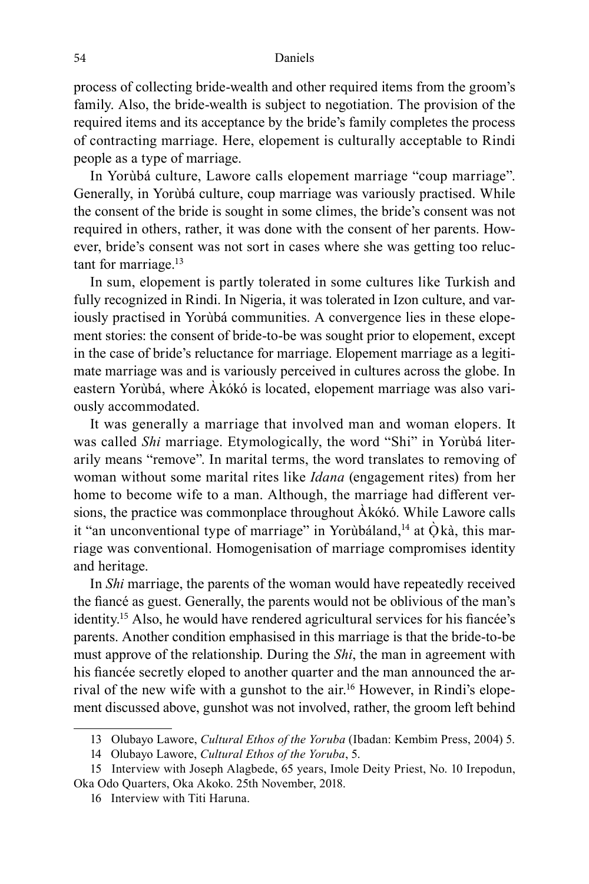process of collecting bride-wealth and other required items from the groom's family. Also, the bride-wealth is subject to negotiation. The provision of the required items and its acceptance by the bride's family completes the process of contracting marriage. Here, elopement is culturally acceptable to Rindi people as a type of marriage.

In Yorùbá culture, Lawore calls elopement marriage "coup marriage". Generally, in Yorùbá culture, coup marriage was variously practised. While the consent of the bride is sought in some climes, the bride's consent was not required in others, rather, it was done with the consent of her parents. However, bride's consent was not sort in cases where she was getting too reluctant for marriage.<sup>13</sup>

In sum, elopement is partly tolerated in some cultures like Turkish and fully recognized in Rindi. In Nigeria, it was tolerated in Izon culture, and variously practised in Yorùbá communities. A convergence lies in these elopement stories: the consent of bride-to-be was sought prior to elopement, except in the case of bride's reluctance for marriage. Elopement marriage as a legitimate marriage was and is variously perceived in cultures across the globe. In eastern Yorùbá, where Àkókó is located, elopement marriage was also variously accommodated.

It was generally a marriage that involved man and woman elopers. It was called *Shi* marriage. Etymologically, the word "Shi" in Yorùbá literarily means "remove". In marital terms, the word translates to removing of woman without some marital rites like *Idana* (engagement rites) from her home to become wife to a man. Although, the marriage had different versions, the practice was commonplace throughout Àkókó. While Lawore calls it "an unconventional type of marriage" in Yorùbáland, $^{14}$  at Ò $k$ à, this marriage was conventional. Homogenisation of marriage compromises identity and heritage.

In *Shi* marriage, the parents of the woman would have repeatedly received the fiancé as guest. Generally, the parents would not be oblivious of the man's identity.<sup>15</sup> Also, he would have rendered agricultural services for his fiancée's parents. Another condition emphasised in this marriage is that the bride-to-be must approve of the relationship. During the *Shi*, the man in agreement with his fiancée secretly eloped to another quarter and the man announced the arrival of the new wife with a gunshot to the air.16 However, in Rindi's elopement discussed above, gunshot was not involved, rather, the groom left behind

<sup>13</sup> Olubayo Lawore, *Cultural Ethos of the Yoruba* (Ibadan: Kembim Press, 2004) 5.

<sup>14</sup> Olubayo Lawore, *Cultural Ethos of the Yoruba*, 5.

<sup>15</sup> Interview with Joseph Alagbede, 65 years, Imole Deity Priest, No. 10 Irepodun, Oka Odo Quarters, Oka Akoko. 25th November, 2018.

<sup>16</sup> Interview with Titi Haruna.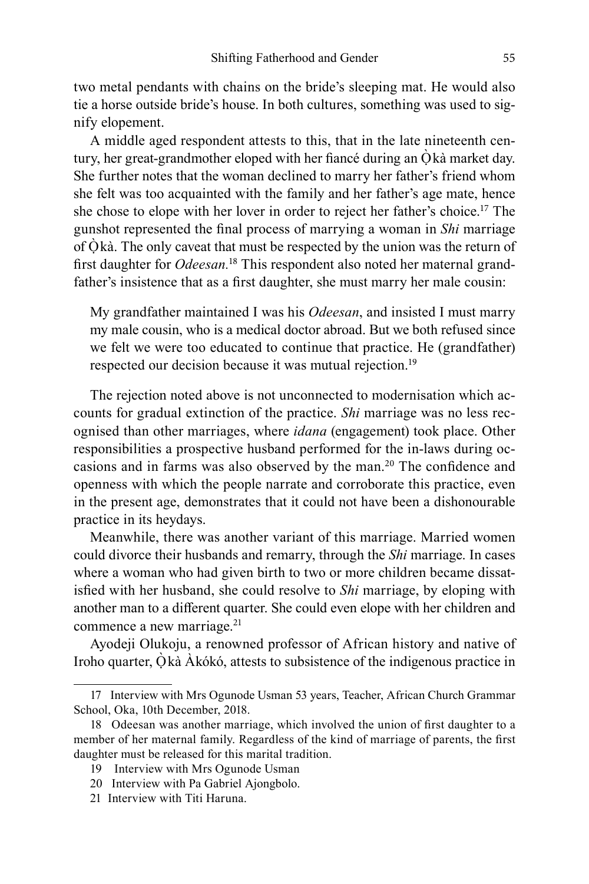two metal pendants with chains on the bride's sleeping mat. He would also tie a horse outside bride's house. In both cultures, something was used to signify elopement.

A middle aged respondent attests to this, that in the late nineteenth century, her great-grandmother eloped with her fiance during an  $\dot{O}$  kà market day. She further notes that the woman declined to marry her father's friend whom she felt was too acquainted with the family and her father's age mate, hence she chose to elope with her lover in order to reject her father's choice.<sup>17</sup> The gunshot represented the final process of marrying a woman in *Shi* marriage of  $\dot{O}$  kà. The only caveat that must be respected by the union was the return of first daughter for *Odeesan.*<sup>18</sup> This respondent also noted her maternal grandfather's insistence that as a first daughter, she must marry her male cousin:

My grandfather maintained I was his *Odeesan*, and insisted I must marry my male cousin, who is a medical doctor abroad. But we both refused since we felt we were too educated to continue that practice. He (grandfather) respected our decision because it was mutual rejection.<sup>19</sup>

The rejection noted above is not unconnected to modernisation which accounts for gradual extinction of the practice. *Shi* marriage was no less recognised than other marriages, where *idana* (engagement) took place. Other responsibilities a prospective husband performed for the in-laws during occasions and in farms was also observed by the man.<sup>20</sup> The confidence and openness with which the people narrate and corroborate this practice, even in the present age, demonstrates that it could not have been a dishonourable practice in its heydays.

Meanwhile, there was another variant of this marriage. Married women could divorce their husbands and remarry, through the *Shi* marriage. In cases where a woman who had given birth to two or more children became dissatisfied with her husband, she could resolve to *Shi* marriage, by eloping with another man to a different quarter. She could even elope with her children and commence a new marriage. $21$ 

Ayodeji Olukoju, a renowned professor of African history and native of Iroho quarter, Òkà Àkókó, attests to subsistence of the indigenous practice in

<sup>17</sup> Interview with Mrs Ogunode Usman 53 years, Teacher, African Church Grammar School, Oka, 10th December, 2018.

<sup>18</sup> Odeesan was another marriage, which involved the union of first daughter to a member of her maternal family. Regardless of the kind of marriage of parents, the first daughter must be released for this marital tradition.

<sup>19</sup> Interview with Mrs Ogunode Usman

<sup>20</sup> Interview with Pa Gabriel Ajongbolo.

<sup>21</sup> Interview with Titi Haruna.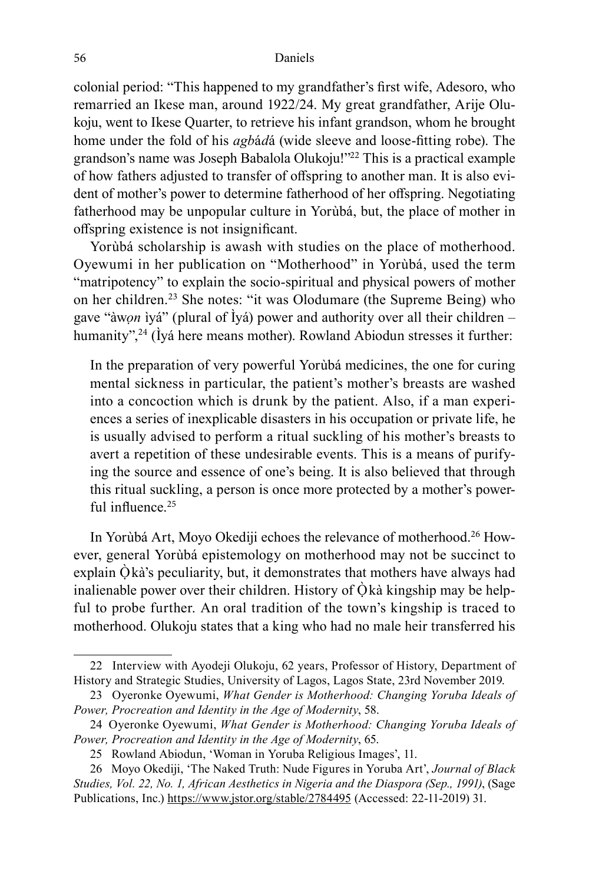colonial period: "This happened to my grandfather's first wife, Adesoro, who remarried an Ikese man, around 1922/24. My great grandfather, Arije Olukoju, went to Ikese Quarter, to retrieve his infant grandson, whom he brought home under the fold of his *agb*á*d*á (wide sleeve and loose-fitting robe). The grandson's name was Joseph Babalola Olukoju!"<sup>22</sup> This is a practical example of how fathers adjusted to transfer of offspring to another man. It is also evident of mother's power to determine fatherhood of her offspring. Negotiating fatherhood may be unpopular culture in Yorùbá, but, the place of mother in offspring existence is not insignificant.

Yorùbá scholarship is awash with studies on the place of motherhood. Oyewumi in her publication on "Motherhood" in Yorùbá, used the term "matripotency" to explain the socio-spiritual and physical powers of mother on her children.<sup>23</sup> She notes: "it was Olodumare (the Supreme Being) who gave "àw*ọn* ìyá" (plural of Ìyá) power and authority over all their children – humanity",<sup>24</sup> (Ìyá here means mother). Rowland Abiodun stresses it further:

In the preparation of very powerful Yorùbá medicines, the one for curing mental sickness in particular, the patient's mother's breasts are washed into a concoction which is drunk by the patient. Also, if a man experiences a series of inexplicable disasters in his occupation or private life, he is usually advised to perform a ritual suckling of his mother's breasts to avert a repetition of these undesirable events. This is a means of purifying the source and essence of one's being. It is also believed that through this ritual suckling, a person is once more protected by a mother's powerful influence  $25$ 

In Yorùbá Art, Moyo Okediji echoes the relevance of motherhood.26 However, general Yorùbá epistemology on motherhood may not be succinct to explain  $\hat{O}$  kà's peculiarity, but, it demonstrates that mothers have always had inalienable power over their children. History of  $\dot{Q}$  kà kingship may be helpful to probe further. An oral tradition of the town's kingship is traced to motherhood. Olukoju states that a king who had no male heir transferred his

<sup>22</sup> Interview with Ayodeji Olukoju, 62 years, Professor of History, Department of History and Strategic Studies, University of Lagos, Lagos State, 23rd November 2019.

<sup>23</sup> Oyeronke Oyewumi, *What Gender is Motherhood: Changing Yoruba Ideals of Power, Procreation and Identity in the Age of Modernity*, 58.

<sup>24</sup> Oyeronke Oyewumi, *What Gender is Motherhood: Changing Yoruba Ideals of Power, Procreation and Identity in the Age of Modernity*, 65.

<sup>25</sup> Rowland Abiodun, 'Woman in Yoruba Religious Images', 11.

<sup>26</sup> Moyo Okediji, 'The Naked Truth: Nude Figures in Yoruba Art', *Journal of Black Studies, Vol. 22, No. 1, African Aesthetics in Nigeria and the Diaspora (Sep., 1991)*, (Sage Publications, Inc.) https://www.jstor.org/stable/2784495 (Accessed: 22-11-2019) 31.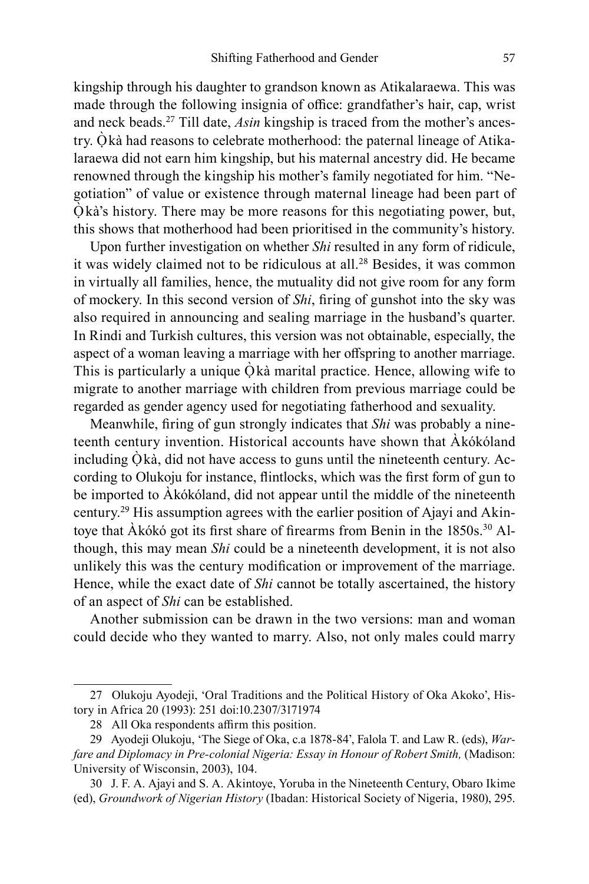kingship through his daughter to grandson known as Atikalaraewa. This was made through the following insignia of office: grandfather's hair, cap, wrist and neck beads.27 Till date, *Asin* kingship is traced from the mother's ancestry. Ọ̀ kà had reasons to celebrate motherhood: the paternal lineage of Atikalaraewa did not earn him kingship, but his maternal ancestry did. He became renowned through the kingship his mother's family negotiated for him. "Negotiation" of value or existence through maternal lineage had been part of  $\dot{O}$  kà's history. There may be more reasons for this negotiating power, but, this shows that motherhood had been prioritised in the community's history.

Upon further investigation on whether *Shi* resulted in any form of ridicule, it was widely claimed not to be ridiculous at all.<sup>28</sup> Besides, it was common in virtually all families, hence, the mutuality did not give room for any form of mockery. In this second version of *Shi*, firing of gunshot into the sky was also required in announcing and sealing marriage in the husband's quarter. In Rindi and Turkish cultures, this version was not obtainable, especially, the aspect of a woman leaving a marriage with her offspring to another marriage. This is particularly a unique  $\dot{Q}$  kà marital practice. Hence, allowing wife to migrate to another marriage with children from previous marriage could be regarded as gender agency used for negotiating fatherhood and sexuality.

Meanwhile, firing of gun strongly indicates that *Shi* was probably a nineteenth century invention. Historical accounts have shown that Àkókóland including Òkà, did not have access to guns until the nineteenth century. According to Olukoju for instance, flintlocks, which was the first form of gun to be imported to Àkókóland, did not appear until the middle of the nineteenth century.29 His assumption agrees with the earlier position of Ajayi and Akintoye that Àkókó got its first share of firearms from Benin in the 1850s.30 Although, this may mean *Shi* could be a nineteenth development, it is not also unlikely this was the century modification or improvement of the marriage. Hence, while the exact date of *Shi* cannot be totally ascertained, the history of an aspect of *Shi* can be established.

Another submission can be drawn in the two versions: man and woman could decide who they wanted to marry. Also, not only males could marry

<sup>27</sup> Olukoju Ayodeji, 'Oral Traditions and the Political History of Oka Akoko', History in Africa 20 (1993): 251 doi:10.2307/3171974

<sup>28</sup> All Oka respondents affirm this position.

<sup>29</sup> Ayodeji Olukoju, 'The Siege of Oka, c.a 1878-84', Falola T. and Law R. (eds), *War*fare and Diplomacy in Pre-colonial Nigeria: Essay in Honour of Robert Smith, (Madison: University of Wisconsin, 2003), 104.

<sup>30</sup> J. F. A. Ajayi and S. A. Akintoye, Yoruba in the Nineteenth Century, Obaro Ikime (ed), *Groundwork of Nigerian History* (Ibadan: Historical Society of Nigeria, 1980), 295.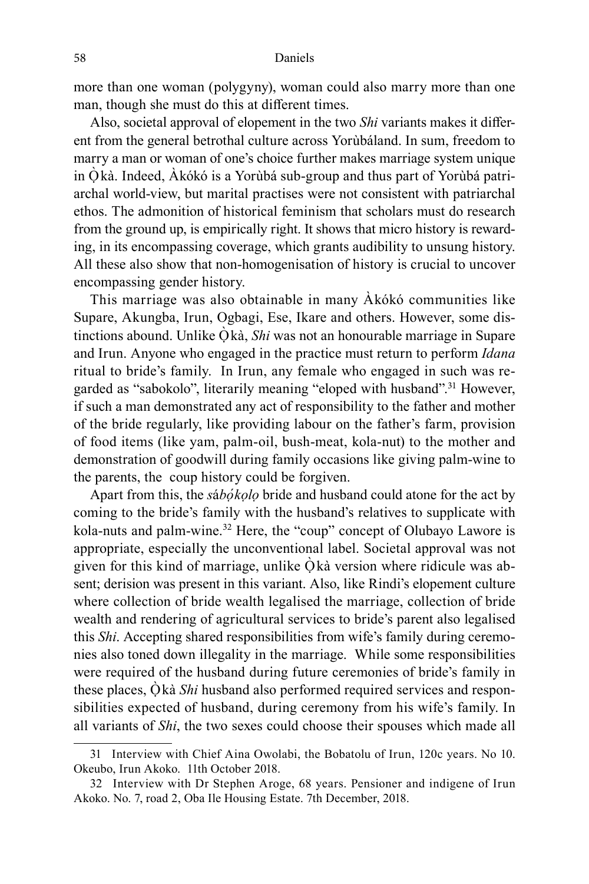more than one woman (polygyny), woman could also marry more than one man, though she must do this at different times.

Also, societal approval of elopement in the two *Shi* variants makes it different from the general betrothal culture across Yorùbáland. In sum, freedom to marry a man or woman of one's choice further makes marriage system unique in Ọ̀ kà. Indeed, Àkókó is a Yorùbá sub-group and thus part of Yorùbá patriarchal world-view, but marital practises were not consistent with patriarchal ethos. The admonition of historical feminism that scholars must do research from the ground up, is empirically right. It shows that micro history is rewarding, in its encompassing coverage, which grants audibility to unsung history. All these also show that non-homogenisation of history is crucial to uncover encompassing gender history.

This marriage was also obtainable in many Àkókó communities like Supare, Akungba, Irun, Ogbagi, Ese, Ikare and others. However, some distinctions abound. Unlike Òkà, Shi was not an honourable marriage in Supare and Irun. Anyone who engaged in the practice must return to perform *Idana* ritual to bride's family. In Irun, any female who engaged in such was regarded as "sabokolo", literarily meaning "eloped with husband".<sup>31</sup> However, if such a man demonstrated any act of responsibility to the father and mother of the bride regularly, like providing labour on the father's farm, provision of food items (like yam, palm-oil, bush-meat, kola-nut) to the mother and demonstration of goodwill during family occasions like giving palm-wine to the parents, the coup history could be forgiven.

Apart from this, the *s*á*bọ́kọlọ* bride and husband could atone for the act by coming to the bride's family with the husband's relatives to supplicate with kola-nuts and palm-wine.<sup>32</sup> Here, the "coup" concept of Olubayo Lawore is appropriate, especially the unconventional label. Societal approval was not given for this kind of marriage, unlike  $\dot{Q}$  kà version where ridicule was absent; derision was present in this variant. Also, like Rindi's elopement culture where collection of bride wealth legalised the marriage, collection of bride wealth and rendering of agricultural services to bride's parent also legalised this *Shi*. Accepting shared responsibilities from wife's family during ceremonies also toned down illegality in the marriage. While some responsibilities were required of the husband during future ceremonies of bride's family in these places, Ọ̀ kà *Shi* husband also performed required services and responsibilities expected of husband, during ceremony from his wife's family. In all variants of *Shi*, the two sexes could choose their spouses which made all

<sup>31</sup> Interview with Chief Aina Owolabi, the Bobatolu of Irun, 120c years. No 10. Okeubo, Irun Akoko. 11th October 2018.

<sup>32</sup> Interview with Dr Stephen Aroge, 68 years. Pensioner and indigene of Irun Akoko. No. 7, road 2, Oba Ile Housing Estate. 7th December, 2018.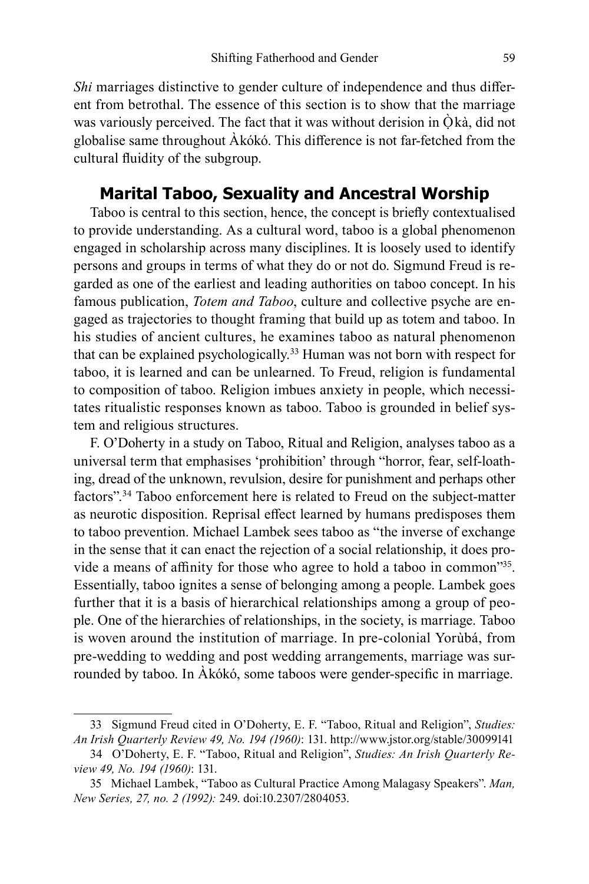*Shi* marriages distinctive to gender culture of independence and thus different from betrothal. The essence of this section is to show that the marriage was variously perceived. The fact that it was without derision in  $\dot{Q}k\dot{a}$ , did not globalise same throughout Àkókó. This difference is not far-fetched from the cultural fluidity of the subgroup.

# **Marital Taboo, Sexuality and Ancestral Worship**

Taboo is central to this section, hence, the concept is briefly contextualised to provide understanding. As a cultural word, taboo is a global phenomenon engaged in scholarship across many disciplines. It is loosely used to identify persons and groups in terms of what they do or not do. Sigmund Freud is regarded as one of the earliest and leading authorities on taboo concept. In his famous publication, *Totem and Taboo*, culture and collective psyche are engaged as trajectories to thought framing that build up as totem and taboo. In his studies of ancient cultures, he examines taboo as natural phenomenon that can be explained psychologically.<sup>33</sup> Human was not born with respect for taboo, it is learned and can be unlearned. To Freud, religion is fundamental to composition of taboo. Religion imbues anxiety in people, which necessitates ritualistic responses known as taboo. Taboo is grounded in belief system and religious structures.

F. O'Doherty in a study on Taboo, Ritual and Religion, analyses taboo as a universal term that emphasises 'prohibition' through "horror, fear, self-loathing, dread of the unknown, revulsion, desire for punishment and perhaps other factors".<sup>34</sup> Taboo enforcement here is related to Freud on the subject-matter as neurotic disposition. Reprisal effect learned by humans predisposes them to taboo prevention. Michael Lambek sees taboo as "the inverse of exchange in the sense that it can enact the rejection of a social relationship, it does provide a means of affinity for those who agree to hold a taboo in common"<sup>35</sup>. Essentially, taboo ignites a sense of belonging among a people. Lambek goes further that it is a basis of hierarchical relationships among a group of people. One of the hierarchies of relationships, in the society, is marriage. Taboo is woven around the institution of marriage. In pre-colonial Yorùbá, from pre-wedding to wedding and post wedding arrangements, marriage was surrounded by taboo. In Àkókó, some taboos were gender-specific in marriage.

<sup>33</sup> Sigmund Freud cited in O'Doherty, E. F. "Taboo, Ritual and Religion", *Studies: An Irish Quarterly Review 49, No. 194 (1960)*: 131. http://www.jstor.org/stable/30099141

<sup>34</sup> O'Doherty, E. F. "Taboo, Ritual and Religion", *Studies: An Irish Quarterly Review 49, No. 194 (1960)*: 131.

<sup>35</sup> Michael Lambek, "Taboo as Cultural Practice Among Malagasy Speakers". *Man, New Series, 27, no. 2 (1992):* 249. doi:10.2307/2804053.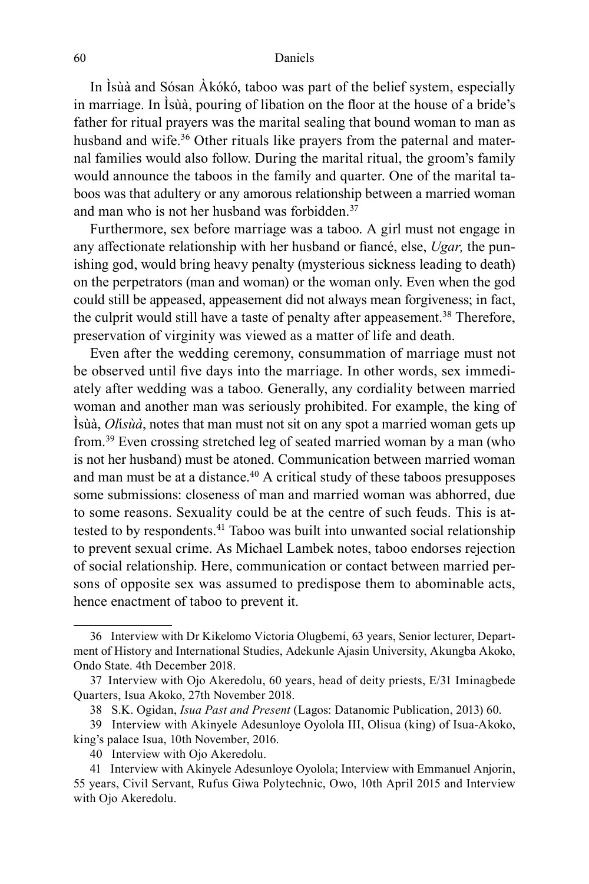In Ìsùà and Sósan Àkókó, taboo was part of the belief system, especially in marriage. In Ìsùà, pouring of libation on the floor at the house of a bride's father for ritual prayers was the marital sealing that bound woman to man as husband and wife.<sup>36</sup> Other rituals like prayers from the paternal and maternal families would also follow. During the marital ritual, the groom's family would announce the taboos in the family and quarter. One of the marital taboos was that adultery or any amorous relationship between a married woman and man who is not her husband was forbidden.<sup>37</sup>

Furthermore, sex before marriage was a taboo. A girl must not engage in any affectionate relationship with her husband or fiancé, else, *Ugar,* the punishing god, would bring heavy penalty (mysterious sickness leading to death) on the perpetrators (man and woman) or the woman only. Even when the god could still be appeased, appeasement did not always mean forgiveness; in fact, the culprit would still have a taste of penalty after appeasement.<sup>38</sup> Therefore, preservation of virginity was viewed as a matter of life and death.

Even after the wedding ceremony, consummation of marriage must not be observed until five days into the marriage. In other words, sex immediately after wedding was a taboo. Generally, any cordiality between married woman and another man was seriously prohibited. For example, the king of Ìsùà, *Ol*í*sùà*, notes that man must not sit on any spot a married woman gets up from.<sup>39</sup> Even crossing stretched leg of seated married woman by a man (who is not her husband) must be atoned. Communication between married woman and man must be at a distance.<sup>40</sup> A critical study of these taboos presupposes some submissions: closeness of man and married woman was abhorred, due to some reasons. Sexuality could be at the centre of such feuds. This is attested to by respondents.<sup>41</sup> Taboo was built into unwanted social relationship to prevent sexual crime. As Michael Lambek notes, taboo endorses rejection of social relationship. Here, communication or contact between married persons of opposite sex was assumed to predispose them to abominable acts, hence enactment of taboo to prevent it.

<sup>36</sup> Interview with Dr Kikelomo Victoria Olugbemi, 63 years, Senior lecturer, Department of History and International Studies, Adekunle Ajasin University, Akungba Akoko, Ondo State. 4th December 2018.

<sup>37</sup> Interview with Ojo Akeredolu, 60 years, head of deity priests, E/31 Iminagbede Quarters, Isua Akoko, 27th November 2018.

<sup>38</sup> S.K. Ogidan, *Isua Past and Present* (Lagos: Datanomic Publication, 2013) 60.

<sup>39</sup> Interview with Akinyele Adesunloye Oyolola III, Olisua (king) of Isua-Akoko, king's palace Isua, 10th November, 2016.

<sup>40</sup> Interview with Ojo Akeredolu.

<sup>41</sup> Interview with Akinyele Adesunloye Oyolola; Interview with Emmanuel Anjorin, 55 years, Civil Servant, Rufus Giwa Polytechnic, Owo, 10th April 2015 and Interview with Ojo Akeredolu.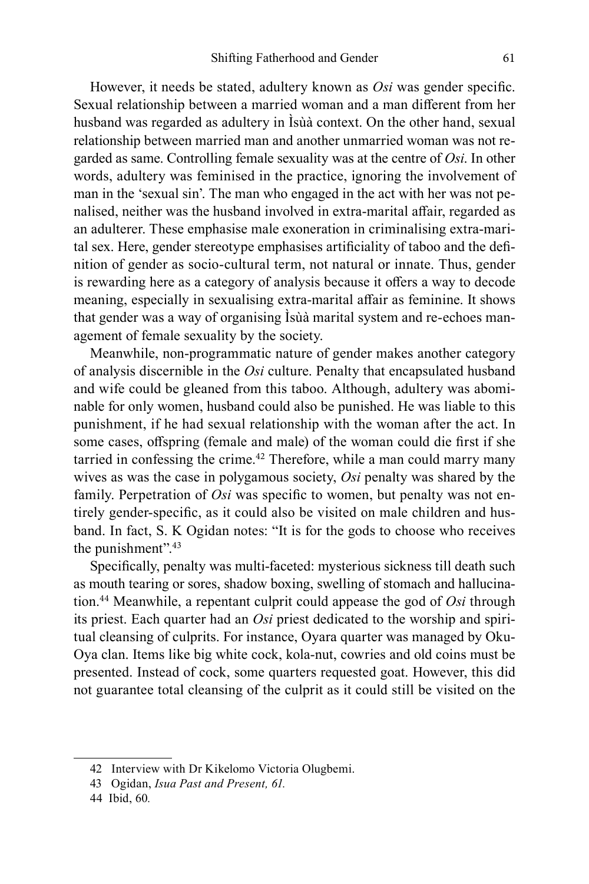However, it needs be stated, adultery known as *Osi* was gender specific. Sexual relationship between a married woman and a man different from her husband was regarded as adultery in Ìsùà context. On the other hand, sexual relationship between married man and another unmarried woman was not regarded as same. Controlling female sexuality was at the centre of *Osi*. In other words, adultery was feminised in the practice, ignoring the involvement of man in the 'sexual sin'. The man who engaged in the act with her was not penalised, neither was the husband involved in extra-marital affair, regarded as an adulterer. These emphasise male exoneration in criminalising extra-marital sex. Here, gender stereotype emphasises artificiality of taboo and the definition of gender as socio-cultural term, not natural or innate. Thus, gender is rewarding here as a category of analysis because it offers a way to decode meaning, especially in sexualising extra-marital affair as feminine. It shows that gender was a way of organising Ìsùà marital system and re-echoes management of female sexuality by the society.

Meanwhile, non-programmatic nature of gender makes another category of analysis discernible in the *Osi* culture. Penalty that encapsulated husband and wife could be gleaned from this taboo. Although, adultery was abominable for only women, husband could also be punished. He was liable to this punishment, if he had sexual relationship with the woman after the act. In some cases, offspring (female and male) of the woman could die first if she tarried in confessing the crime.<sup>42</sup> Therefore, while a man could marry many wives as was the case in polygamous society, *Osi* penalty was shared by the family. Perpetration of *Osi* was specific to women, but penalty was not entirely gender-specific, as it could also be visited on male children and husband. In fact, S. K Ogidan notes: "It is for the gods to choose who receives the punishment".<sup>43</sup>

Specifically, penalty was multi-faceted: mysterious sickness till death such as mouth tearing or sores, shadow boxing, swelling of stomach and hallucination.<sup>44</sup> Meanwhile, a repentant culprit could appease the god of *Osi* through its priest. Each quarter had an *Osi* priest dedicated to the worship and spiritual cleansing of culprits. For instance, Oyara quarter was managed by Oku-Oya clan. Items like big white cock, kola-nut, cowries and old coins must be presented. Instead of cock, some quarters requested goat. However, this did not guarantee total cleansing of the culprit as it could still be visited on the

<sup>42</sup> Interview with Dr Kikelomo Victoria Olugbemi.

<sup>43</sup> Ogidan, *Isua Past and Present, 61.*

<sup>44</sup> Ibid, 60*.*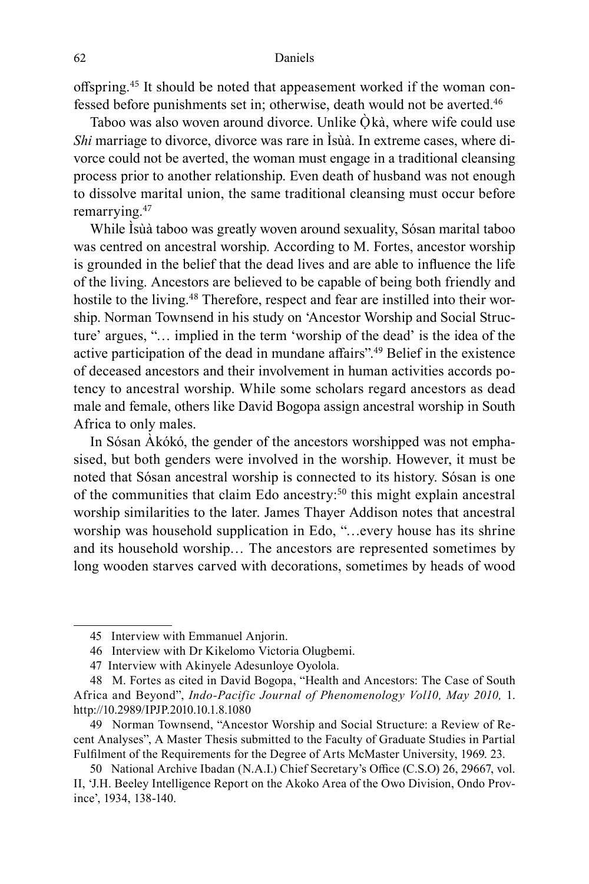offspring.45 It should be noted that appeasement worked if the woman confessed before punishments set in; otherwise, death would not be averted.<sup>46</sup>

Taboo was also woven around divorce. Unlike  $\hat{O}$  kà, where wife could use *Shi* marriage to divorce, divorce was rare in Isua. In extreme cases, where divorce could not be averted, the woman must engage in a traditional cleansing process prior to another relationship. Even death of husband was not enough to dissolve marital union, the same traditional cleansing must occur before remarrying.<sup>47</sup>

While Ìsùà taboo was greatly woven around sexuality, Sósan marital taboo was centred on ancestral worship. According to M. Fortes, ancestor worship is grounded in the belief that the dead lives and are able to influence the life of the living. Ancestors are believed to be capable of being both friendly and hostile to the living.<sup>48</sup> Therefore, respect and fear are instilled into their worship. Norman Townsend in his study on 'Ancestor Worship and Social Structure' argues, "… implied in the term 'worship of the dead' is the idea of the active participation of the dead in mundane affairs".<sup>49</sup> Belief in the existence of deceased ancestors and their involvement in human activities accords potency to ancestral worship. While some scholars regard ancestors as dead male and female, others like David Bogopa assign ancestral worship in South Africa to only males.

In Sósan Àkókó, the gender of the ancestors worshipped was not emphasised, but both genders were involved in the worship. However, it must be noted that Sósan ancestral worship is connected to its history. Sósan is one of the communities that claim Edo ancestry:<sup>50</sup> this might explain ancestral worship similarities to the later. James Thayer Addison notes that ancestral worship was household supplication in Edo, "…every house has its shrine and its household worship… The ancestors are represented sometimes by long wooden starves carved with decorations, sometimes by heads of wood

<sup>45</sup> Interview with Emmanuel Anjorin.

<sup>46</sup> Interview with Dr Kikelomo Victoria Olugbemi.

<sup>47</sup> Interview with Akinyele Adesunloye Oyolola.

<sup>48</sup> M. Fortes as cited in David Bogopa, "Health and Ancestors: The Case of South Africa and Beyond", *Indo-Pacific Journal of Phenomenology Vol10, May 2010,* 1. http://10.2989/IPJP.2010.10.1.8.1080

<sup>49</sup> Norman Townsend, "Ancestor Worship and Social Structure: a Review of Recent Analyses", A Master Thesis submitted to the Faculty of Graduate Studies in Partial Fulfilment of the Requirements for the Degree of Arts McMaster University, 1969. 23.

<sup>50</sup> National Archive Ibadan (N.A.I.) Chief Secretary's Office (C.S.O) 26, 29667, vol. II, 'J.H. Beeley Intelligence Report on the Akoko Area of the Owo Division, Ondo Province', 1934, 138-140.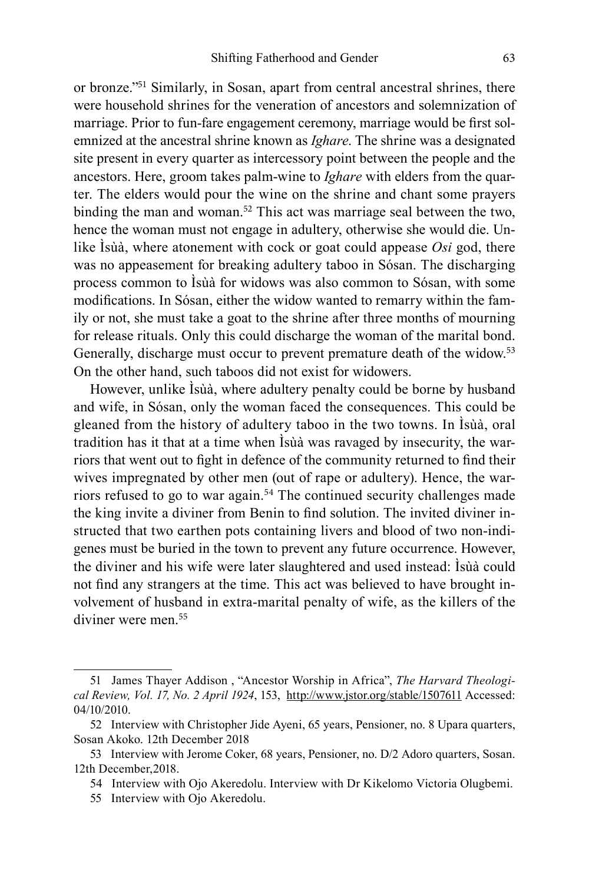or bronze."<sup>51</sup> Similarly, in Sosan, apart from central ancestral shrines, there were household shrines for the veneration of ancestors and solemnization of marriage. Prior to fun-fare engagement ceremony, marriage would be first solemnized at the ancestral shrine known as *Ighare*. The shrine was a designated site present in every quarter as intercessory point between the people and the ancestors. Here, groom takes palm-wine to *Ighare* with elders from the quarter. The elders would pour the wine on the shrine and chant some prayers binding the man and woman.<sup>52</sup> This act was marriage seal between the two, hence the woman must not engage in adultery, otherwise she would die. Unlike Ìsùà, where atonement with cock or goat could appease *Osi* god, there was no appeasement for breaking adultery taboo in Sósan. The discharging process common to Ìsùà for widows was also common to Sósan, with some modifications. In Sósan, either the widow wanted to remarry within the family or not, she must take a goat to the shrine after three months of mourning for release rituals. Only this could discharge the woman of the marital bond. Generally, discharge must occur to prevent premature death of the widow.<sup>53</sup> On the other hand, such taboos did not exist for widowers.

However, unlike Ìsùà, where adultery penalty could be borne by husband and wife, in Sósan, only the woman faced the consequences. This could be gleaned from the history of adultery taboo in the two towns. In Ìsùà, oral tradition has it that at a time when Ìsùà was ravaged by insecurity, the warriors that went out to fight in defence of the community returned to find their wives impregnated by other men (out of rape or adultery). Hence, the warriors refused to go to war again.<sup>54</sup> The continued security challenges made the king invite a diviner from Benin to find solution. The invited diviner instructed that two earthen pots containing livers and blood of two non-indigenes must be buried in the town to prevent any future occurrence. However, the diviner and his wife were later slaughtered and used instead: Ìsùà could not find any strangers at the time. This act was believed to have brought involvement of husband in extra-marital penalty of wife, as the killers of the diviner were men.<sup>55</sup>

<sup>51</sup> James Thayer Addison , "Ancestor Worship in Africa", *The Harvard Theological Review, Vol. 17, No. 2 April 1924*, 153, http://www.jstor.org/stable/1507611 Accessed: 04/10/2010.

<sup>52</sup> Interview with Christopher Jide Ayeni, 65 years, Pensioner, no. 8 Upara quarters, Sosan Akoko. 12th December 2018

<sup>53</sup> Interview with Jerome Coker, 68 years, Pensioner, no. D/2 Adoro quarters, Sosan. 12th December,2018.

<sup>54</sup> Interview with Ojo Akeredolu. Interview with Dr Kikelomo Victoria Olugbemi.

<sup>55</sup> Interview with Ojo Akeredolu.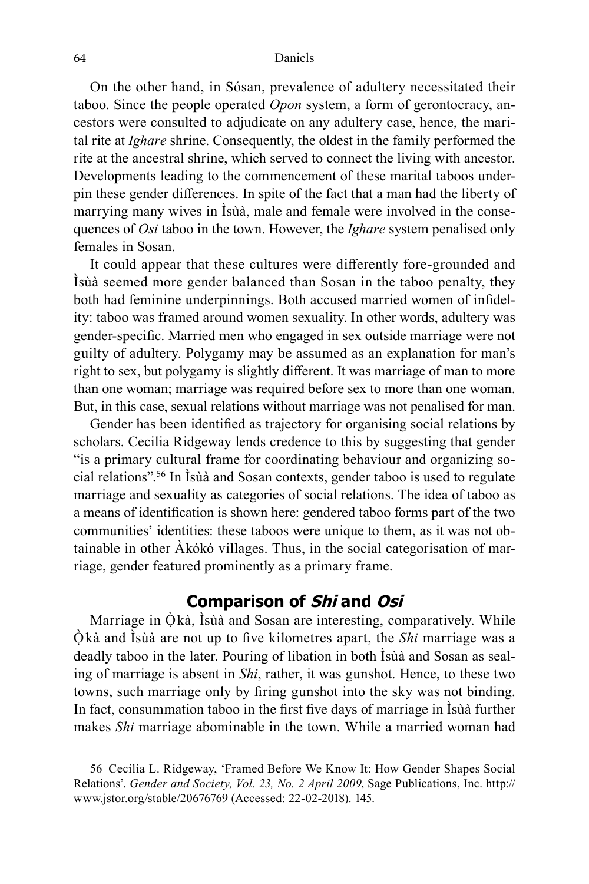On the other hand, in Sósan, prevalence of adultery necessitated their taboo. Since the people operated *Opon* system, a form of gerontocracy, ancestors were consulted to adjudicate on any adultery case, hence, the marital rite at *Ighare* shrine. Consequently, the oldest in the family performed the rite at the ancestral shrine, which served to connect the living with ancestor. Developments leading to the commencement of these marital taboos underpin these gender differences. In spite of the fact that a man had the liberty of marrying many wives in Ìsùà, male and female were involved in the consequences of *Osi* taboo in the town. However, the *Ighare* system penalised only females in Sosan.

It could appear that these cultures were differently fore-grounded and Ìsùà seemed more gender balanced than Sosan in the taboo penalty, they both had feminine underpinnings. Both accused married women of infidelity: taboo was framed around women sexuality. In other words, adultery was gender-specific. Married men who engaged in sex outside marriage were not guilty of adultery. Polygamy may be assumed as an explanation for man's right to sex, but polygamy is slightly different. It was marriage of man to more than one woman; marriage was required before sex to more than one woman. But, in this case, sexual relations without marriage was not penalised for man.

Gender has been identified as trajectory for organising social relations by scholars. Cecilia Ridgeway lends credence to this by suggesting that gender "is a primary cultural frame for coordinating behaviour and organizing social relations".<sup>56</sup> In Ìsùà and Sosan contexts, gender taboo is used to regulate marriage and sexuality as categories of social relations. The idea of taboo as a means of identification is shown here: gendered taboo forms part of the two communities' identities: these taboos were unique to them, as it was not obtainable in other Àkókó villages. Thus, in the social categorisation of marriage, gender featured prominently as a primary frame.

# **Comparison of Shi and Osi**

Marriage in  $\dot{O}$  kà, Isùà and Sosan are interesting, comparatively. While Ọ̀ kà and Ìsùà are not up to five kilometres apart, the *Shi* marriage was a deadly taboo in the later. Pouring of libation in both Ìsùà and Sosan as sealing of marriage is absent in *Shi*, rather, it was gunshot. Hence, to these two towns, such marriage only by firing gunshot into the sky was not binding. In fact, consummation taboo in the first five days of marriage in Ìsùà further makes *Shi* marriage abominable in the town. While a married woman had

<sup>56</sup> Cecilia L. Ridgeway, 'Framed Before We Know It: How Gender Shapes Social Relations'. *Gender and Society, Vol. 23, No. 2 April 2009*, Sage Publications, Inc. http:// www.jstor.org/stable/20676769 (Accessed: 22-02-2018). 145.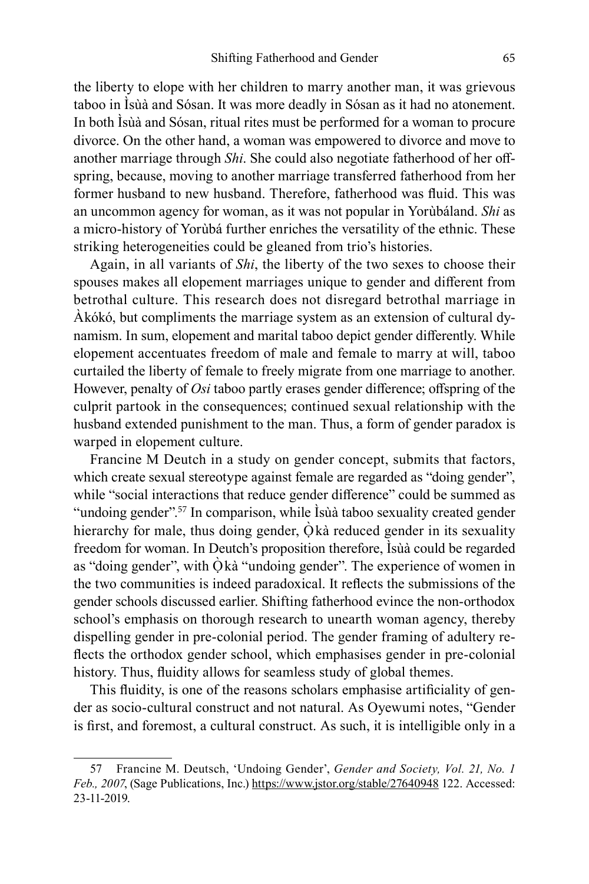the liberty to elope with her children to marry another man, it was grievous taboo in Ìsùà and Sósan. It was more deadly in Sósan as it had no atonement. In both Ìsùà and Sósan, ritual rites must be performed for a woman to procure divorce. On the other hand, a woman was empowered to divorce and move to another marriage through *Shi*. She could also negotiate fatherhood of her offspring, because, moving to another marriage transferred fatherhood from her former husband to new husband. Therefore, fatherhood was fluid. This was an uncommon agency for woman, as it was not popular in Yorùbáland. *Shi* as a micro-history of Yorùbá further enriches the versatility of the ethnic. These striking heterogeneities could be gleaned from trio's histories.

Again, in all variants of *Shi*, the liberty of the two sexes to choose their spouses makes all elopement marriages unique to gender and different from betrothal culture. This research does not disregard betrothal marriage in Àkókó, but compliments the marriage system as an extension of cultural dynamism. In sum, elopement and marital taboo depict gender differently. While elopement accentuates freedom of male and female to marry at will, taboo curtailed the liberty of female to freely migrate from one marriage to another. However, penalty of *Osi* taboo partly erases gender difference; offspring of the culprit partook in the consequences; continued sexual relationship with the husband extended punishment to the man. Thus, a form of gender paradox is warped in elopement culture.

Francine M Deutch in a study on gender concept, submits that factors, which create sexual stereotype against female are regarded as "doing gender", while "social interactions that reduce gender difference" could be summed as "undoing gender".<sup>57</sup> In comparison, while Isùà taboo sexuality created gender hierarchy for male, thus doing gender,  $\dot{O}$  kà reduced gender in its sexuality freedom for woman. In Deutch's proposition therefore, Ìsùà could be regarded as "doing gender", with  $\dot{O}$  kà "undoing gender". The experience of women in the two communities is indeed paradoxical. It reflects the submissions of the gender schools discussed earlier. Shifting fatherhood evince the non-orthodox school's emphasis on thorough research to unearth woman agency, thereby dispelling gender in pre-colonial period. The gender framing of adultery reflects the orthodox gender school, which emphasises gender in pre-colonial history. Thus, fluidity allows for seamless study of global themes.

This fluidity, is one of the reasons scholars emphasise artificiality of gender as socio-cultural construct and not natural. As Oyewumi notes, "Gender is first, and foremost, a cultural construct. As such, it is intelligible only in a

<sup>57</sup> Francine M. Deutsch, 'Undoing Gender', *Gender and Society, Vol. 21, No. 1 Feb., 2007*, (Sage Publications, Inc.) https://www.jstor.org/stable/27640948 122. Accessed: 23-11-2019.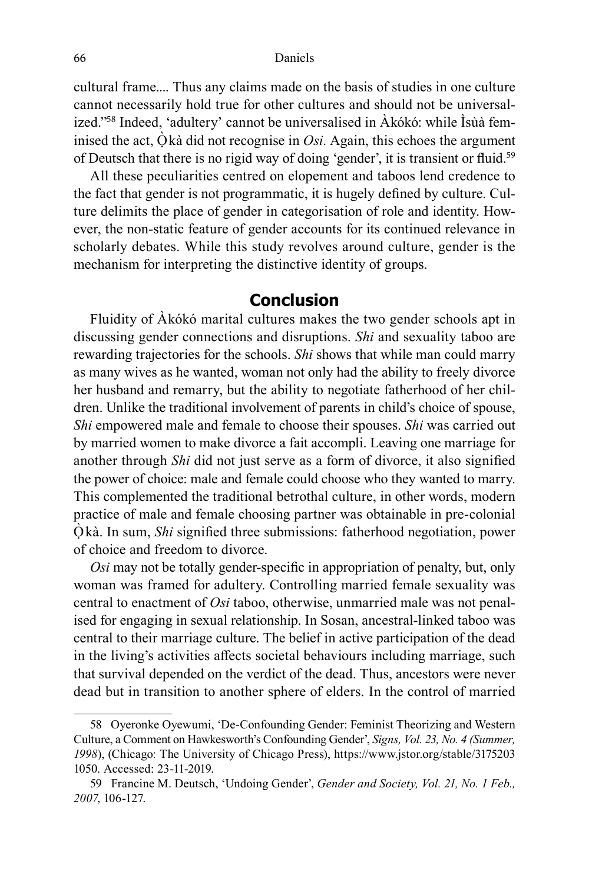cultural frame.... Thus any claims made on the basis of studies in one culture cannot necessarily hold true for other cultures and should not be universalized."58 Indeed, 'adultery' cannot be universalised in Àkókó: while Ìsùà feminised the act,  $\dot{Q}$  kà did not recognise in *Osi*. Again, this echoes the argument of Deutsch that there is no rigid way of doing 'gender', it is transient or fluid.<sup>59</sup>

All these peculiarities centred on elopement and taboos lend credence to the fact that gender is not programmatic, it is hugely defined by culture. Culture delimits the place of gender in categorisation of role and identity. However, the non-static feature of gender accounts for its continued relevance in scholarly debates. While this study revolves around culture, gender is the mechanism for interpreting the distinctive identity of groups.

## **Conclusion**

Fluidity of Àkókó marital cultures makes the two gender schools apt in discussing gender connections and disruptions. *Shi* and sexuality taboo are rewarding trajectories for the schools. *Shi* shows that while man could marry as many wives as he wanted, woman not only had the ability to freely divorce her husband and remarry, but the ability to negotiate fatherhood of her children. Unlike the traditional involvement of parents in child's choice of spouse, *Shi* empowered male and female to choose their spouses. *Shi* was carried out by married women to make divorce a fait accompli. Leaving one marriage for another through *Shi* did not just serve as a form of divorce, it also signified the power of choice: male and female could choose who they wanted to marry. This complemented the traditional betrothal culture, in other words, modern practice of male and female choosing partner was obtainable in pre-colonial Ọ̀ kà. In sum, *Shi* signified three submissions: fatherhood negotiation, power of choice and freedom to divorce.

*Osi* may not be totally gender-specific in appropriation of penalty, but, only woman was framed for adultery. Controlling married female sexuality was central to enactment of *Osi* taboo, otherwise, unmarried male was not penalised for engaging in sexual relationship. In Sosan, ancestral-linked taboo was central to their marriage culture. The belief in active participation of the dead in the living's activities affects societal behaviours including marriage, such that survival depended on the verdict of the dead. Thus, ancestors were never dead but in transition to another sphere of elders. In the control of married

<sup>58</sup> Oyeronke Oyewumi, 'De-Confounding Gender: Feminist Theorizing and Western Culture, a Comment on Hawkesworth's Confounding Gender', *Signs, Vol. 23, No. 4 (Summer, 1998*), (Chicago: The University of Chicago Press), https://www.jstor.org/stable/3175203 1050. Accessed: 23-11-2019.

<sup>59</sup> Francine M. Deutsch, 'Undoing Gender', *Gender and Society, Vol. 21, No. 1 Feb., 2007*, 106-127.